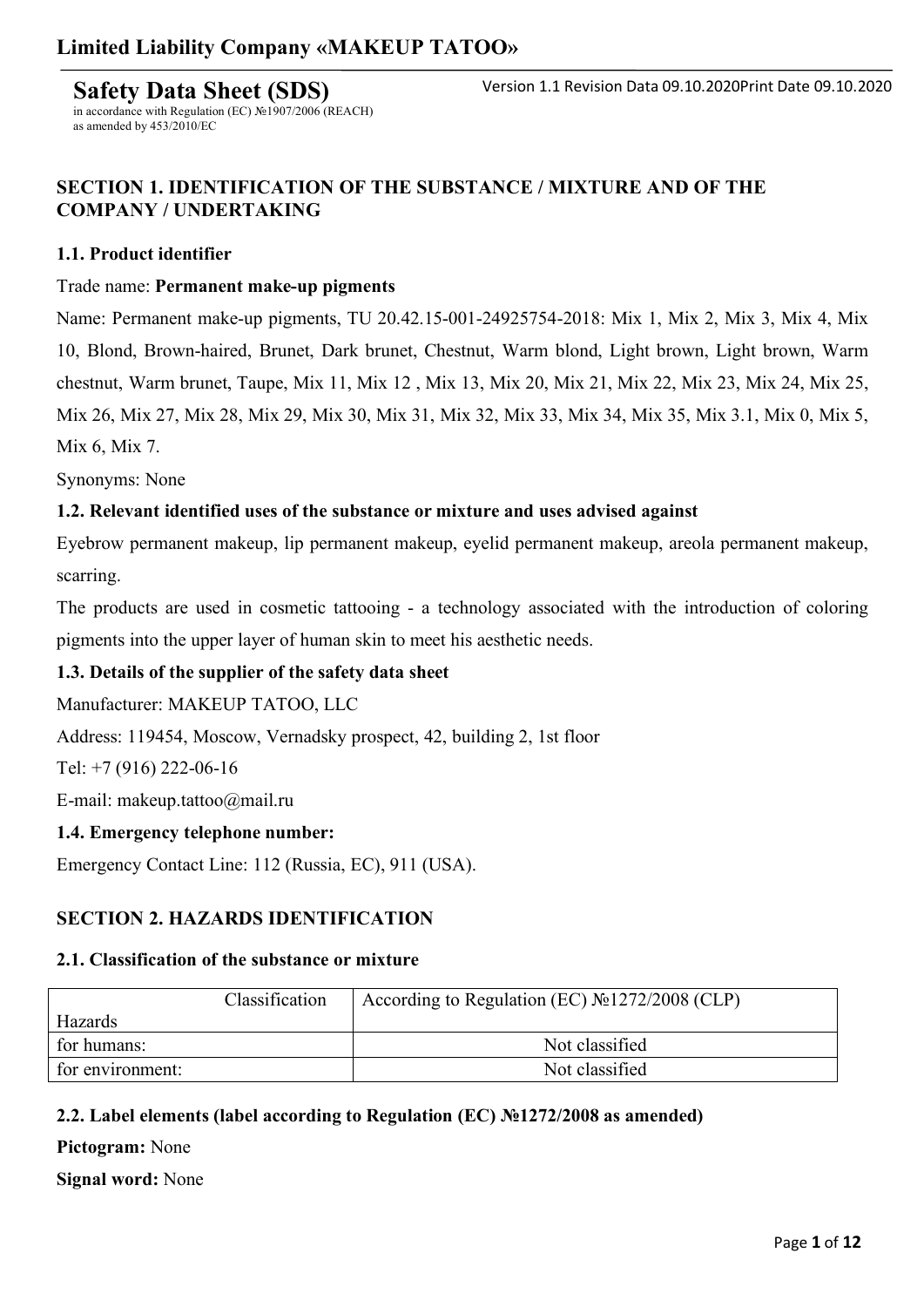**Safety Data Sheet (SDS)** in accordance with Regulation (EC) №1907/2006 (REACH)

### **SECTION 1. IDENTIFICATION OF THE SUBSTANCE / MIXTURE AND OF THE COMPANY / UNDERTAKING**

#### **1.1. Product identifier**

as amended by 453/2010/EC

#### Trade name: **Permanent make-up pigments**

Name: Permanent make-up pigments, TU 20.42.15-001-24925754-2018: Mix 1, Mix 2, Mix 3, Mix 4, Mix 10, Blond, Brown-haired, Brunet, Dark brunet, Chestnut, Warm blond, Light brown, Light brown, Warm chestnut, Warm brunet, Taupe, Mix 11, Mix 12 , Mix 13, Mix 20, Mix 21, Mix 22, Mix 23, Mix 24, Mix 25, Mix 26, Mix 27, Mix 28, Mix 29, Mix 30, Mix 31, Mix 32, Mix 33, Mix 34, Mix 35, Mix 3.1, Mix 0, Mix 5, Mix 6, Mix 7.

Synonyms: None

#### **1.2. Relevant identified uses of the substance or mixture and uses advised against**

Eyebrow permanent makeup, lip permanent makeup, eyelid permanent makeup, areola permanent makeup, scarring.

The products are used in cosmetic tattooing - a technology associated with the introduction of coloring pigments into the upper layer of human skin to meet his aesthetic needs.

### **1.3. Details of the supplier of the safety data sheet**

Manufacturer: MAKEUP TATOO, LLC

Address: 119454, Moscow, Vernadsky prospect, 42, building 2, 1st floor

Tel: +7 (916) 222-06-16

E-mail: makeup.tattoo@mail.ru

#### **1.4. Emergency telephone number:**

Emergency Contact Line: 112 (Russia, EC), 911 (USA).

### **SECTION 2. HAZARDS IDENTIFICATION**

#### **2.1. Classification of the substance or mixture**

|                  | Classification | According to Regulation (EC) $N21272/2008$ (CLP) |
|------------------|----------------|--------------------------------------------------|
| Hazards          |                |                                                  |
| for humans:      |                | Not classified                                   |
| for environment: |                | Not classified                                   |

### **2.2. Label elements (label according to Regulation (EC) №1272/2008 as amended)**

**Pictogram:** None

**Signal word:** None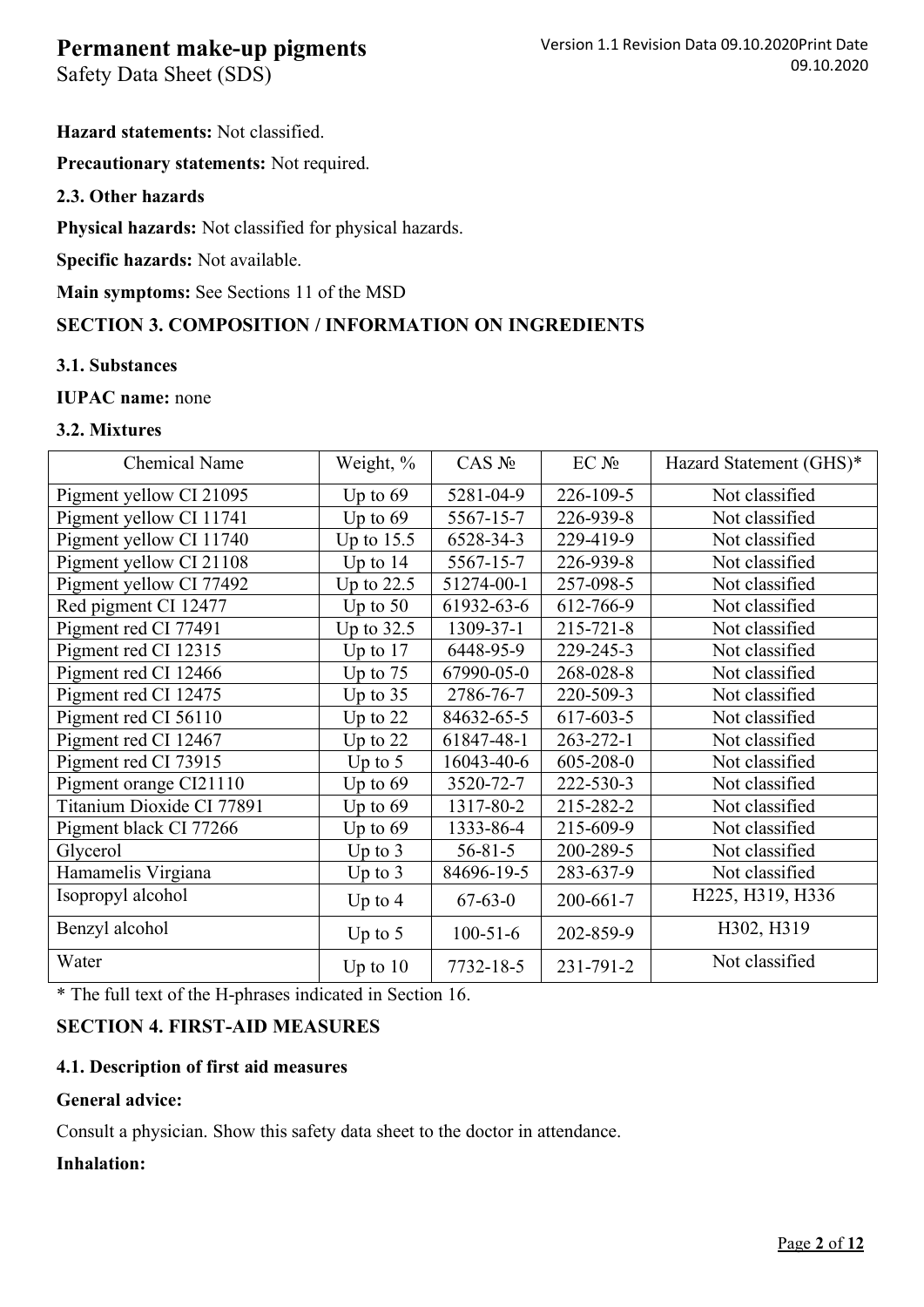Safety Data Sheet (SDS)

**Hazard statements:** Not classified.

**Precautionary statements:** Not required.

### **2.3. Other hazards**

**Physical hazards:** Not classified for physical hazards.

**Specific hazards:** Not available.

**Main symptoms:** See Sections 11 of the MSD

## **SECTION 3. COMPOSITION / INFORMATION ON INGREDIENTS**

### **3.1. Substances**

**IUPAC name:** none

### **3.2. Mixtures**

| <b>Chemical Name</b>      | Weight, %    | $CAS$ $N_2$    | $EC$ $N_2$      | Hazard Statement (GHS)* |
|---------------------------|--------------|----------------|-----------------|-------------------------|
| Pigment yellow CI 21095   | Up to $69$   | 5281-04-9      | 226-109-5       | Not classified          |
| Pigment yellow CI 11741   | Up to $69$   | 5567-15-7      | 226-939-8       | Not classified          |
| Pigment yellow CI 11740   | Up to $15.5$ | 6528-34-3      | 229-419-9       | Not classified          |
| Pigment yellow CI 21108   | Up to $14$   | 5567-15-7      | 226-939-8       | Not classified          |
| Pigment yellow CI 77492   | Up to $22.5$ | 51274-00-1     | 257-098-5       | Not classified          |
| Red pigment CI 12477      | Up to $50$   | 61932-63-6     | 612-766-9       | Not classified          |
| Pigment red CI 77491      | Up to $32.5$ | 1309-37-1      | 215-721-8       | Not classified          |
| Pigment red CI 12315      | Up to $17$   | 6448-95-9      | 229-245-3       | Not classified          |
| Pigment red CI 12466      | Up to $75$   | 67990-05-0     | 268-028-8       | Not classified          |
| Pigment red CI 12475      | Up to $35$   | 2786-76-7      | 220-509-3       | Not classified          |
| Pigment red CI 56110      | Up to $22$   | 84632-65-5     | 617-603-5       | Not classified          |
| Pigment red CI 12467      | Up to $22$   | 61847-48-1     | $263 - 272 - 1$ | Not classified          |
| Pigment red CI 73915      | Up to $5$    | 16043-40-6     | 605-208-0       | Not classified          |
| Pigment orange CI21110    | Up to $69$   | 3520-72-7      | 222-530-3       | Not classified          |
| Titanium Dioxide CI 77891 | Up to $69$   | 1317-80-2      | 215-282-2       | Not classified          |
| Pigment black CI 77266    | Up to $69$   | 1333-86-4      | 215-609-9       | Not classified          |
| Glycerol                  | Up to $3$    | $56 - 81 - 5$  | 200-289-5       | Not classified          |
| Hamamelis Virgiana        | Up to $3$    | 84696-19-5     | 283-637-9       | Not classified          |
| Isopropyl alcohol         | Up to $4$    | $67 - 63 - 0$  | 200-661-7       | H225, H319, H336        |
| Benzyl alcohol            | Up to $5$    | $100 - 51 - 6$ | 202-859-9       | H302, H319              |
| Water                     | Up to $10$   | 7732-18-5      | 231-791-2       | Not classified          |

\* The full text of the H-phrases indicated in Section 16.

### **SECTION 4. FIRST-AID MEASURES**

### **4.1. Description of first aid measures**

### **General advice:**

Consult a physician. Show this safety data sheet to the doctor in attendance.

### **Inhalation:**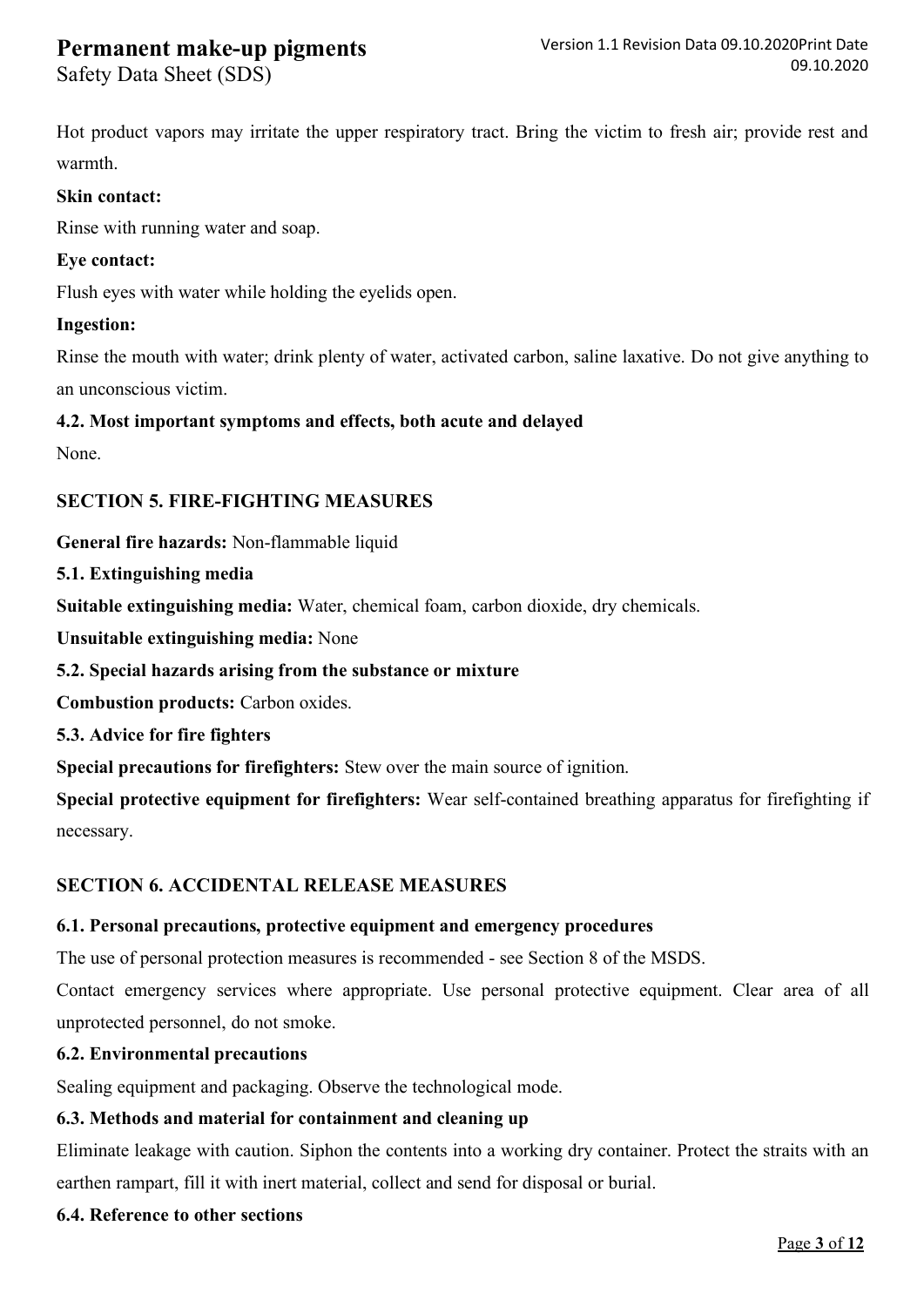Safety Data Sheet (SDS)

Hot product vapors may irritate the upper respiratory tract. Bring the victim to fresh air; provide rest and warmth.

#### **Skin contact:**

Rinse with running water and soap.

#### **Eye contact:**

Flush eyes with water while holding the eyelids open.

#### **Ingestion:**

Rinse the mouth with water; drink plenty of water, activated carbon, saline laxative. Do not give anything to an unconscious victim.

#### **4.2. Most important symptoms and effects, both acute and delayed**

None.

### **SECTION 5. FIRE-FIGHTING MEASURES**

**General fire hazards:** Non-flammable liquid

**5.1. Extinguishing media** 

**Suitable extinguishing media:** Water, chemical foam, carbon dioxide, dry chemicals.

**Unsuitable extinguishing media:** None

### **5.2. Special hazards arising from the substance or mixture**

**Combustion products:** Carbon oxides.

**5.3. Advice for fire fighters** 

**Special precautions for firefighters:** Stew over the main source of ignition.

**Special protective equipment for firefighters:** Wear self-contained breathing apparatus for firefighting if necessary.

### **SECTION 6. ACCIDENTAL RELEASE MEASURES**

## **6.1. Personal precautions, protective equipment and emergency procedures**

The use of personal protection measures is recommended - see Section 8 of the MSDS.

Contact emergency services where appropriate. Use personal protective equipment. Clear area of all unprotected personnel, do not smoke.

### **6.2. Environmental precautions**

Sealing equipment and packaging. Observe the technological mode.

## **6.3. Methods and material for containment and cleaning up**

Eliminate leakage with caution. Siphon the contents into a working dry container. Protect the straits with an earthen rampart, fill it with inert material, collect and send for disposal or burial.

## **6.4. Reference to other sections**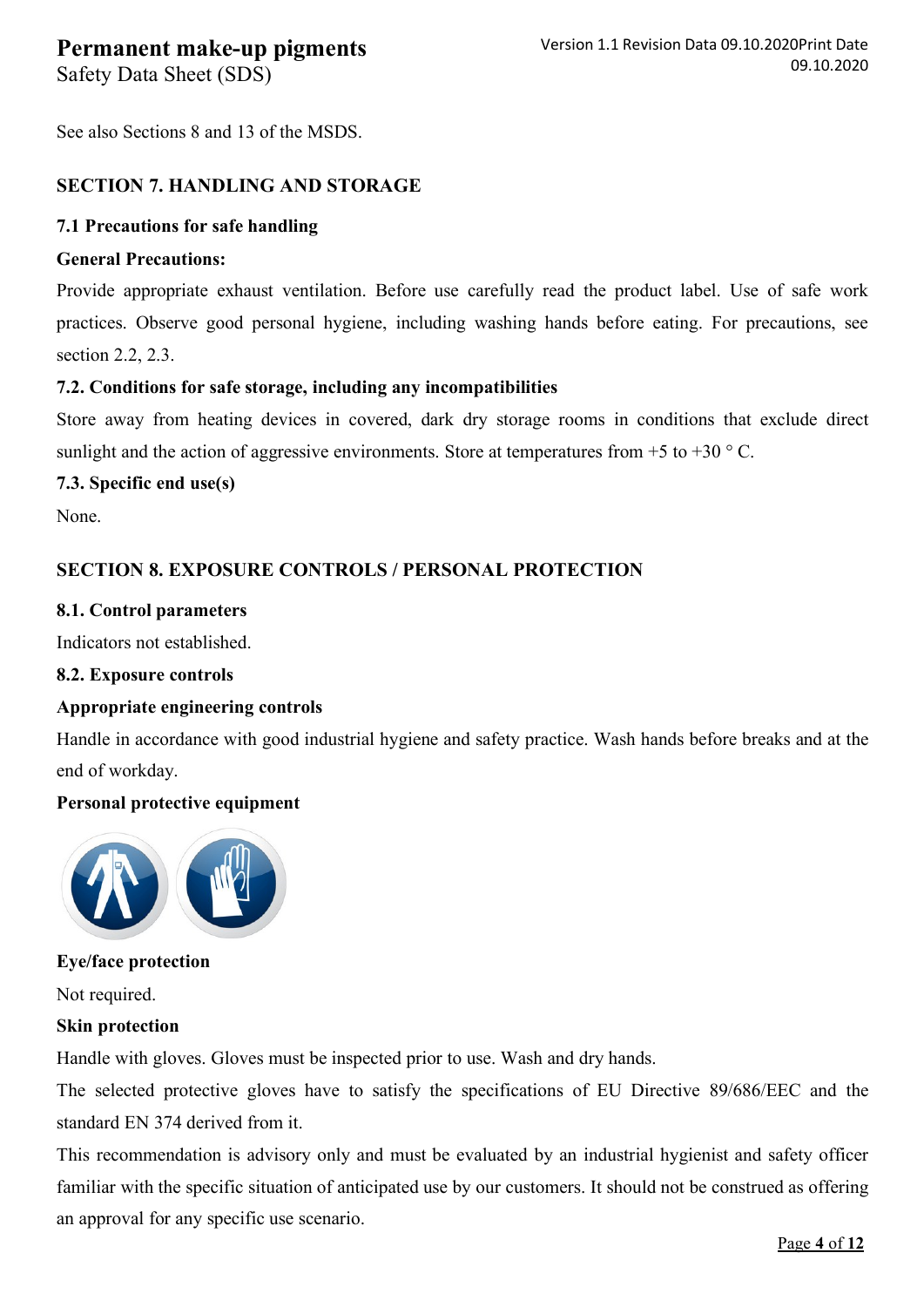Safety Data Sheet (SDS)

See also Sections 8 and 13 of the MSDS.

### **SECTION 7. HANDLING AND STORAGE**

### **7.1 Precautions for safe handling**

### **General Precautions:**

Provide appropriate exhaust ventilation. Before use carefully read the product label. Use of safe work practices. Observe good personal hygiene, including washing hands before eating. For precautions, see section 2.2, 2.3.

### **7.2. Conditions for safe storage, including any incompatibilities**

Store away from heating devices in covered, dark dry storage rooms in conditions that exclude direct sunlight and the action of aggressive environments. Store at temperatures from  $+5$  to  $+30$  ° C.

### **7.3. Specific end use(s)**

None.

### **SECTION 8. EXPOSURE CONTROLS / PERSONAL PROTECTION**

### **8.1. Control parameters**

Indicators not established.

### **8.2. Exposure controls**

### **Appropriate engineering controls**

Handle in accordance with good industrial hygiene and safety practice. Wash hands before breaks and at the end of workday.

### **Personal protective equipment**



### **Eye/face protection**

Not required.

### **Skin protection**

Handle with gloves. Gloves must be inspected prior to use. Wash and dry hands.

The selected protective gloves have to satisfy the specifications of EU Directive 89/686/EEC and the standard EN 374 derived from it.

This recommendation is advisory only and must be evaluated by an industrial hygienist and safety officer familiar with the specific situation of anticipated use by our customers. It should not be construed as offering an approval for any specific use scenario.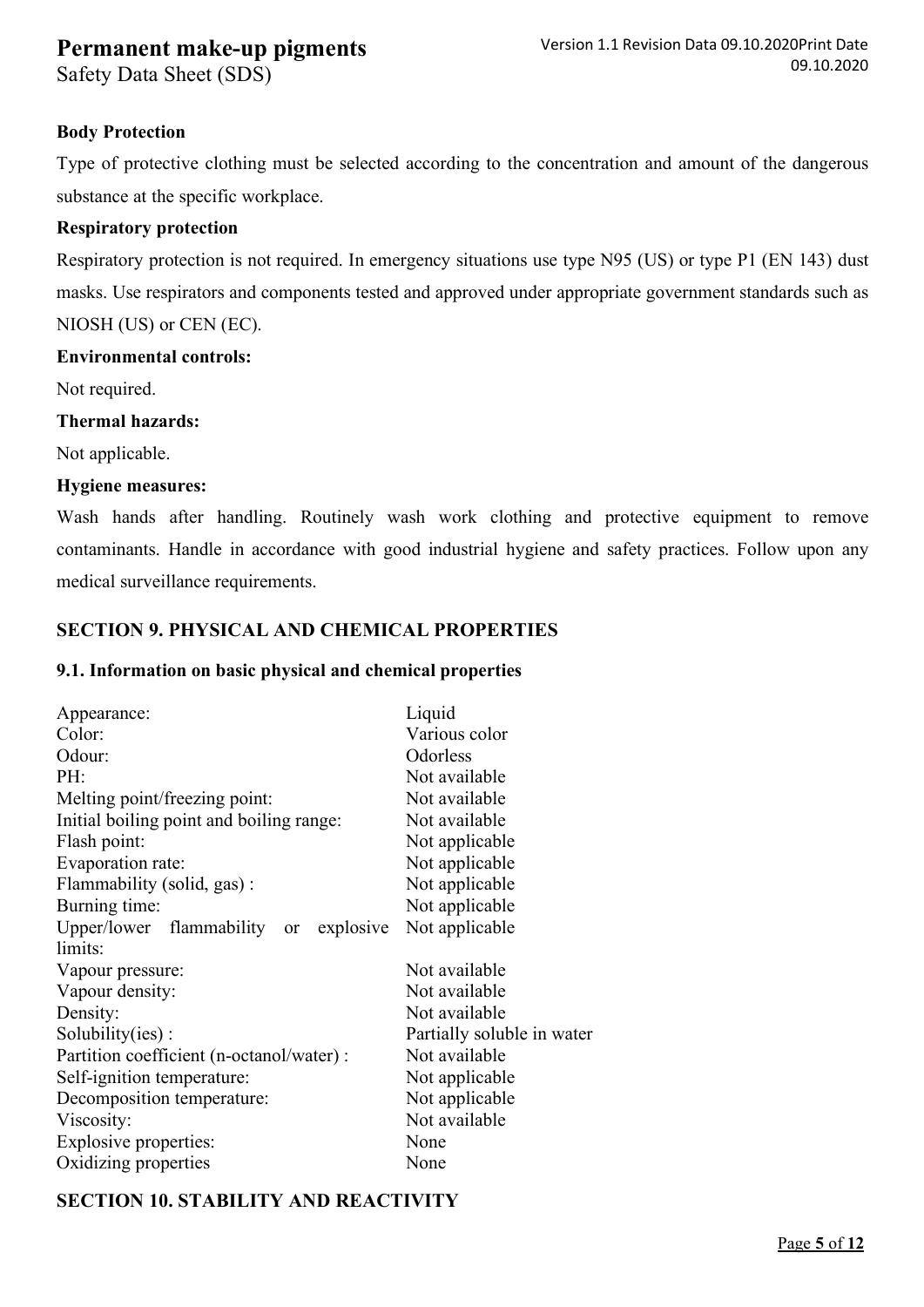Safety Data Sheet (SDS)

### **Body Protection**

Type of protective clothing must be selected according to the concentration and amount of the dangerous substance at the specific workplace.

### **Respiratory protection**

Respiratory protection is not required. In emergency situations use type N95 (US) or type P1 (EN 143) dust masks. Use respirators and components tested and approved under appropriate government standards such as NIOSH (US) or CEN (EC).

#### **Environmental controls:**

Not required.

#### **Thermal hazards:**

Not applicable.

#### **Hygiene measures:**

Wash hands after handling. Routinely wash work clothing and protective equipment to remove contaminants. Handle in accordance with good industrial hygiene and safety practices. Follow upon any medical surveillance requirements.

### **SECTION 9. PHYSICAL AND CHEMICAL PROPERTIES**

#### **9.1. Information on basic physical and chemical properties**

| Appearance:                               | Liquid                     |  |
|-------------------------------------------|----------------------------|--|
|                                           |                            |  |
| Color:                                    | Various color              |  |
| Odour:                                    | Odorless                   |  |
| PH:                                       | Not available              |  |
| Melting point/freezing point:             | Not available              |  |
| Initial boiling point and boiling range:  | Not available              |  |
| Flash point:                              | Not applicable             |  |
| Evaporation rate:                         | Not applicable             |  |
| Flammability (solid, gas):                | Not applicable             |  |
| Burning time:                             | Not applicable             |  |
| Upper/lower flammability or explosive     | Not applicable             |  |
| limits:                                   |                            |  |
| Vapour pressure:                          | Not available              |  |
| Vapour density:                           | Not available              |  |
| Density:                                  | Not available              |  |
| Solubility(ies):                          | Partially soluble in water |  |
| Partition coefficient (n-octanol/water) : | Not available              |  |
| Self-ignition temperature:                | Not applicable             |  |
| Decomposition temperature:                | Not applicable             |  |
| Viscosity:                                | Not available              |  |
| Explosive properties:                     | None                       |  |
| Oxidizing properties                      | None                       |  |
|                                           |                            |  |

### **SECTION 10. STABILITY AND REACTIVITY**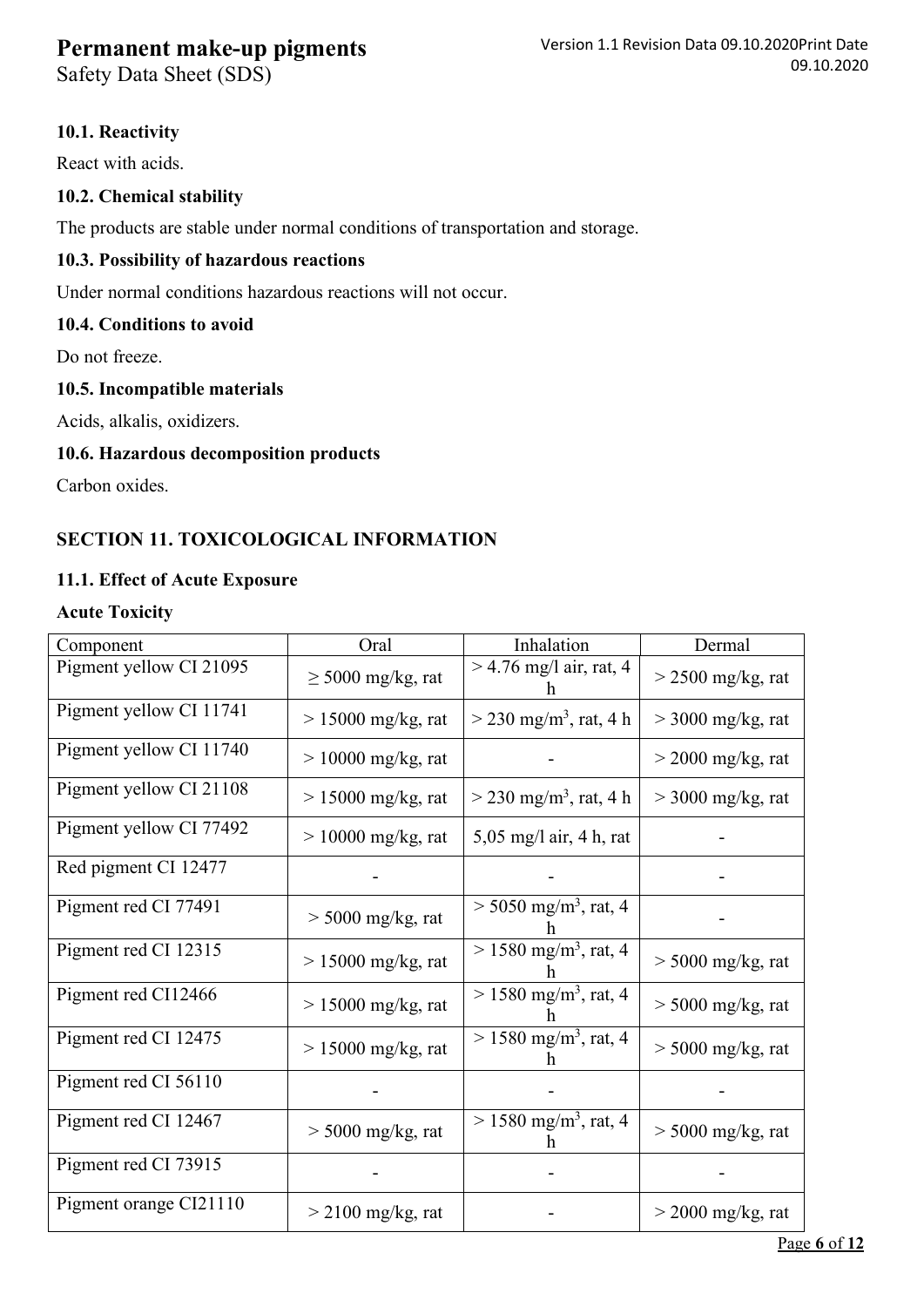Safety Data Sheet (SDS)

### **10.1. Reactivity**

React with acids.

### **10.2. Chemical stability**

The products are stable under normal conditions of transportation and storage.

#### **10.3. Possibility of hazardous reactions**

Under normal conditions hazardous reactions will not occur.

### **10.4. Conditions to avoid**

Do not freeze.

#### **10.5. Incompatible materials**

Acids, alkalis, oxidizers.

#### **10.6. Hazardous decomposition products**

Carbon oxides.

### **SECTION 11. TOXICOLOGICAL INFORMATION**

### **11.1. Effect of Acute Exposure**

#### **Acute Toxicity**

| Component               | Oral                   | Inhalation                           | Dermal              |
|-------------------------|------------------------|--------------------------------------|---------------------|
| Pigment yellow CI 21095 | $\geq$ 5000 mg/kg, rat | $>$ 4.76 mg/l air, rat, 4            | $>$ 2500 mg/kg, rat |
| Pigment yellow CI 11741 | $> 15000$ mg/kg, rat   | $>$ 230 mg/m <sup>3</sup> , rat, 4 h | $>$ 3000 mg/kg, rat |
| Pigment yellow CI 11740 | $> 10000$ mg/kg, rat   |                                      | $>$ 2000 mg/kg, rat |
| Pigment yellow CI 21108 | $> 15000$ mg/kg, rat   | $>$ 230 mg/m <sup>3</sup> , rat, 4 h | $>$ 3000 mg/kg, rat |
| Pigment yellow CI 77492 | $> 10000$ mg/kg, rat   | $5,05$ mg/l air, 4 h, rat            |                     |
| Red pigment CI 12477    |                        |                                      |                     |
| Pigment red CI 77491    | $>$ 5000 mg/kg, rat    | $> 5050$ mg/m <sup>3</sup> , rat, 4  |                     |
| Pigment red CI 12315    | $> 15000$ mg/kg, rat   | $> 1580$ mg/m <sup>3</sup> , rat, 4  | $>$ 5000 mg/kg, rat |
| Pigment red CI12466     | $> 15000$ mg/kg, rat   | $> 1580$ mg/m <sup>3</sup> , rat, 4  | $> 5000$ mg/kg, rat |
| Pigment red CI 12475    | $> 15000$ mg/kg, rat   | $> 1580$ mg/m <sup>3</sup> , rat, 4  | $>$ 5000 mg/kg, rat |
| Pigment red CI 56110    |                        |                                      |                     |
| Pigment red CI 12467    | $>$ 5000 mg/kg, rat    | $> 1580$ mg/m <sup>3</sup> , rat, 4  | $>$ 5000 mg/kg, rat |
| Pigment red CI 73915    |                        |                                      |                     |
| Pigment orange CI21110  | $>$ 2100 mg/kg, rat    |                                      | $>$ 2000 mg/kg, rat |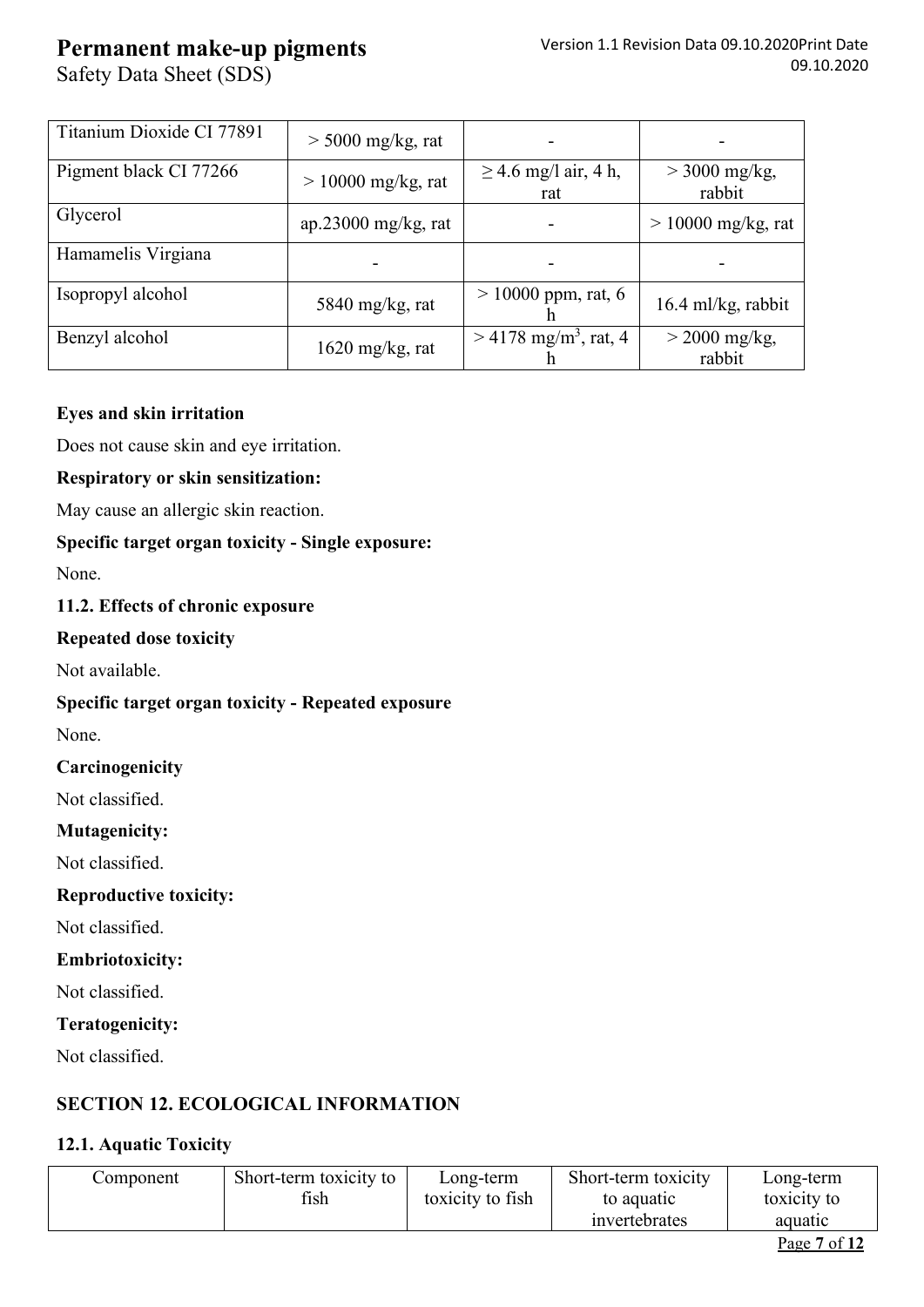Safety Data Sheet (SDS)

| Titanium Dioxide CI 77891 | $>$ 5000 mg/kg, rat  |                                     |                           |
|---------------------------|----------------------|-------------------------------------|---------------------------|
| Pigment black CI 77266    | $> 10000$ mg/kg, rat | $\geq$ 4.6 mg/l air, 4 h,<br>rat    | $>$ 3000 mg/kg,<br>rabbit |
| Glycerol                  | ap.23000 mg/kg, rat  |                                     | $> 10000$ mg/kg, rat      |
| Hamamelis Virgiana        |                      |                                     |                           |
| Isopropyl alcohol         | 5840 mg/kg, rat      | $> 10000$ ppm, rat, 6               | $16.4$ ml/kg, rabbit      |
| Benzyl alcohol            | $1620$ mg/kg, rat    | $> 4178$ mg/m <sup>3</sup> , rat, 4 | $>$ 2000 mg/kg,<br>rabbit |

### **Eyes and skin irritation**

Does not cause skin and eye irritation.

### **Respiratory or skin sensitization:**

May cause an allergic skin reaction.

### **Specific target organ toxicity - Single exposure:**

None.

### **11.2. Effects of chronic exposure**

### **Repeated dose toxicity**

Not available.

### **Specific target organ toxicity - Repeated exposure**

None.

### **Carcinogenicity**

Not classified.

### **Mutagenicity:**

Not classified.

### **Reproductive toxicity:**

Not classified.

### **Embriotoxicity:**

Not classified.

### **Teratogenicity:**

Not classified.

## **SECTION 12. ECOLOGICAL INFORMATION**

### **12.1. Aquatic Toxicity**

| Component | Short-term toxicity to | Long-term        | Short-term toxicity | Long-term    |
|-----------|------------------------|------------------|---------------------|--------------|
|           | fish                   | toxicity to fish | to aquatic          | toxicity to  |
|           |                        |                  | mvertebrates        | aquatic      |
|           |                        |                  |                     | - - -<br>$-$ |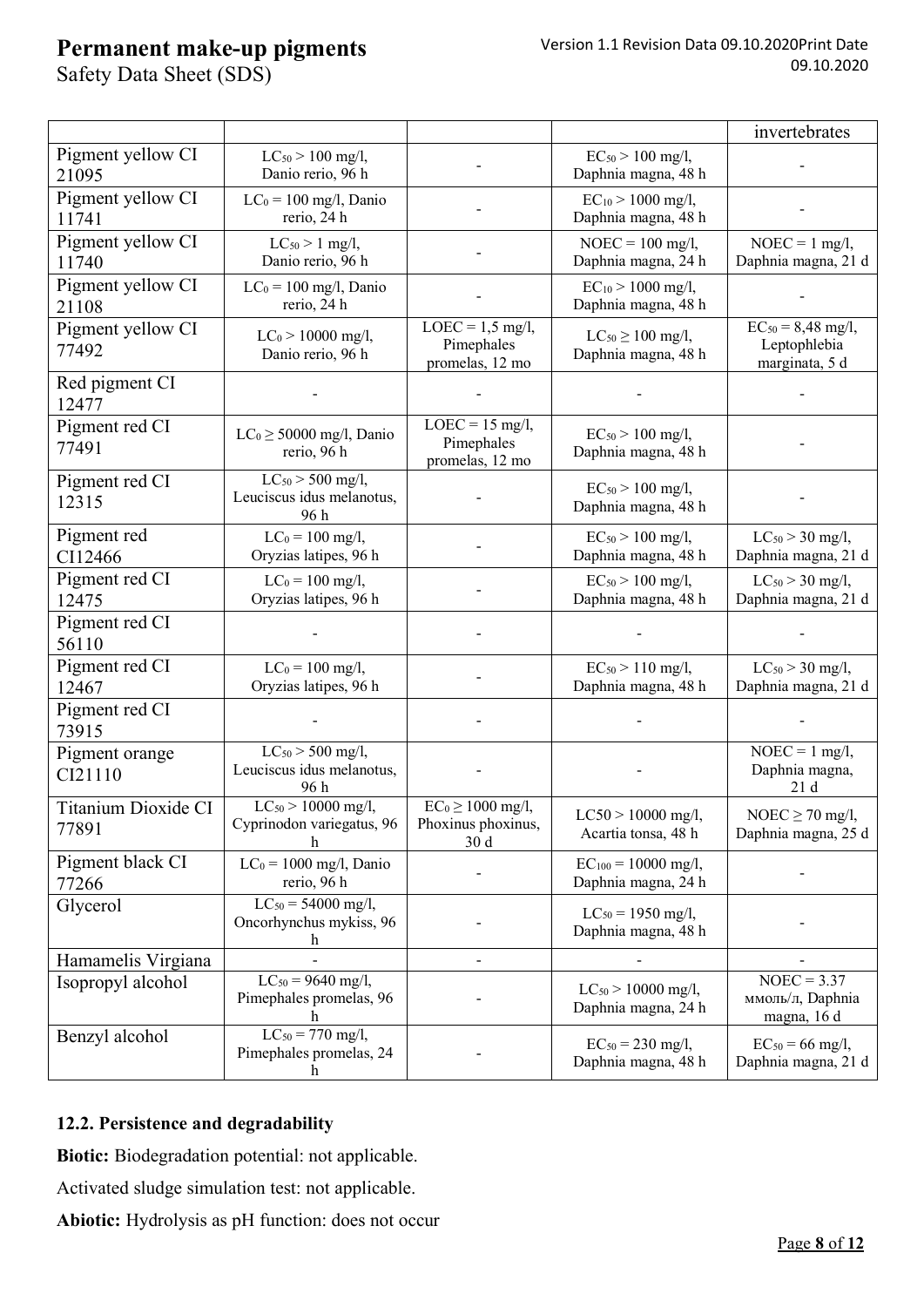Safety Data Sheet (SDS)

|                              |                                                            |                                                                |                                                 | invertebrates                                            |
|------------------------------|------------------------------------------------------------|----------------------------------------------------------------|-------------------------------------------------|----------------------------------------------------------|
| Pigment yellow CI<br>21095   | $LC_{50}$ > 100 mg/l,<br>Danio rerio, 96 h                 |                                                                | $EC_{50}$ > 100 mg/l,<br>Daphnia magna, 48 h    |                                                          |
| Pigment yellow CI<br>11741   | $LC_0 = 100$ mg/l, Danio<br>rerio, 24 h                    |                                                                | $EC_{10}$ > 1000 mg/l,<br>Daphnia magna, 48 h   |                                                          |
| Pigment yellow CI<br>11740   | $LC_{50} > 1$ mg/l,<br>Danio rerio, 96 h                   |                                                                | $NOEC = 100$ mg/l,<br>Daphnia magna, 24 h       | $NOEC = 1$ mg/l,<br>Daphnia magna, 21 d                  |
| Pigment yellow CI<br>21108   | $LC_0 = 100$ mg/l, Danio<br>rerio, 24 h                    |                                                                | $EC_{10}$ > 1000 mg/l,<br>Daphnia magna, 48 h   |                                                          |
| Pigment yellow CI<br>77492   | $LC_0 > 10000$ mg/l,<br>Danio rerio, 96 h                  | $LOEC = 1.5$ mg/l,<br>Pimephales<br>promelas, 12 mo            | $LC_{50} \ge 100$ mg/l,<br>Daphnia magna, 48 h  | $EC_{50} = 8,48$ mg/l,<br>Leptophlebia<br>marginata, 5 d |
| Red pigment CI<br>12477      |                                                            |                                                                |                                                 |                                                          |
| Pigment red CI<br>77491      | $LC_0 \geq 50000$ mg/l, Danio<br>rerio, 96 h               | $LOEC = 15$ mg/l,<br>Pimephales<br>promelas, 12 mo             | $EC_{50}$ > 100 mg/l,<br>Daphnia magna, 48 h    |                                                          |
| Pigment red CI<br>12315      | $LC_{50}$ > 500 mg/l,<br>Leuciscus idus melanotus,<br>96 h |                                                                | $EC_{50}$ > 100 mg/l,<br>Daphnia magna, 48 h    |                                                          |
| Pigment red<br>CI12466       | $LC_0 = 100$ mg/l,<br>Oryzias latipes, 96 h                |                                                                | $EC_{50}$ > 100 mg/l,<br>Daphnia magna, 48 h    | $LC_{50}$ > 30 mg/l,<br>Daphnia magna, 21 d              |
| Pigment red CI<br>12475      | $LC_0 = 100$ mg/l,<br>Oryzias latipes, 96 h                |                                                                | $EC_{50}$ > 100 mg/l,<br>Daphnia magna, 48 h    | $LC_{50}$ > 30 mg/l,<br>Daphnia magna, 21 d              |
| Pigment red CI<br>56110      |                                                            |                                                                |                                                 |                                                          |
| Pigment red CI<br>12467      | $LC_0 = 100$ mg/l,<br>Oryzias latipes, 96 h                |                                                                | $EC_{50}$ > 110 mg/l,<br>Daphnia magna, 48 h    | $LC_{50}$ > 30 mg/l,<br>Daphnia magna, 21 d              |
| Pigment red CI<br>73915      |                                                            |                                                                |                                                 |                                                          |
| Pigment orange<br>CI21110    | $LC_{50}$ > 500 mg/l,<br>Leuciscus idus melanotus,<br>96 h |                                                                |                                                 | $NOEC = 1$ mg/l,<br>Daphnia magna,<br>21d                |
| Titanium Dioxide CI<br>77891 | $LC_{50}$ > 10000 mg/l,<br>Cyprinodon variegatus, 96<br>h  | $EC_0 \ge 1000$ mg/l,<br>Phoxinus phoxinus,<br>30 <sub>d</sub> | $LC50 > 10000$ mg/l,<br>Acartia tonsa, 48 h     | NOEC $\geq$ 70 mg/l,<br>Daphnia magna, 25 d              |
| Pigment black CI<br>77266    | $LC_0 = 1000$ mg/l, Danio<br>rerio, 96 h                   |                                                                | $EC_{100} = 10000$ mg/l,<br>Daphnia magna, 24 h |                                                          |
| Glycerol                     | $LC_{50} = 54000$ mg/l,<br>Oncorhynchus mykiss, 96         |                                                                | $LC_{50} = 1950$ mg/l,<br>Daphnia magna, 48 h   |                                                          |
| Hamamelis Virgiana           |                                                            |                                                                |                                                 |                                                          |
| Isopropyl alcohol            | $LC_{50} = 9640$ mg/l,<br>Pimephales promelas, 96          |                                                                | $LC_{50}$ > 10000 mg/l,<br>Daphnia magna, 24 h  | $NOEC = 3.37$<br>ммоль/л, Daphnia<br>magna, 16 d         |
| Benzyl alcohol               | $LC_{50} = 770$ mg/l,<br>Pimephales promelas, 24<br>h      |                                                                | $EC_{50} = 230$ mg/l,<br>Daphnia magna, 48 h    | $EC_{50} = 66$ mg/l,<br>Daphnia magna, 21 d              |

### **12.2. Persistence and degradability**

**Biotic:** Biodegradation potential: not applicable.

Activated sludge simulation test: not applicable.

**Abiotic:** Hydrolysis as pH function: does not occur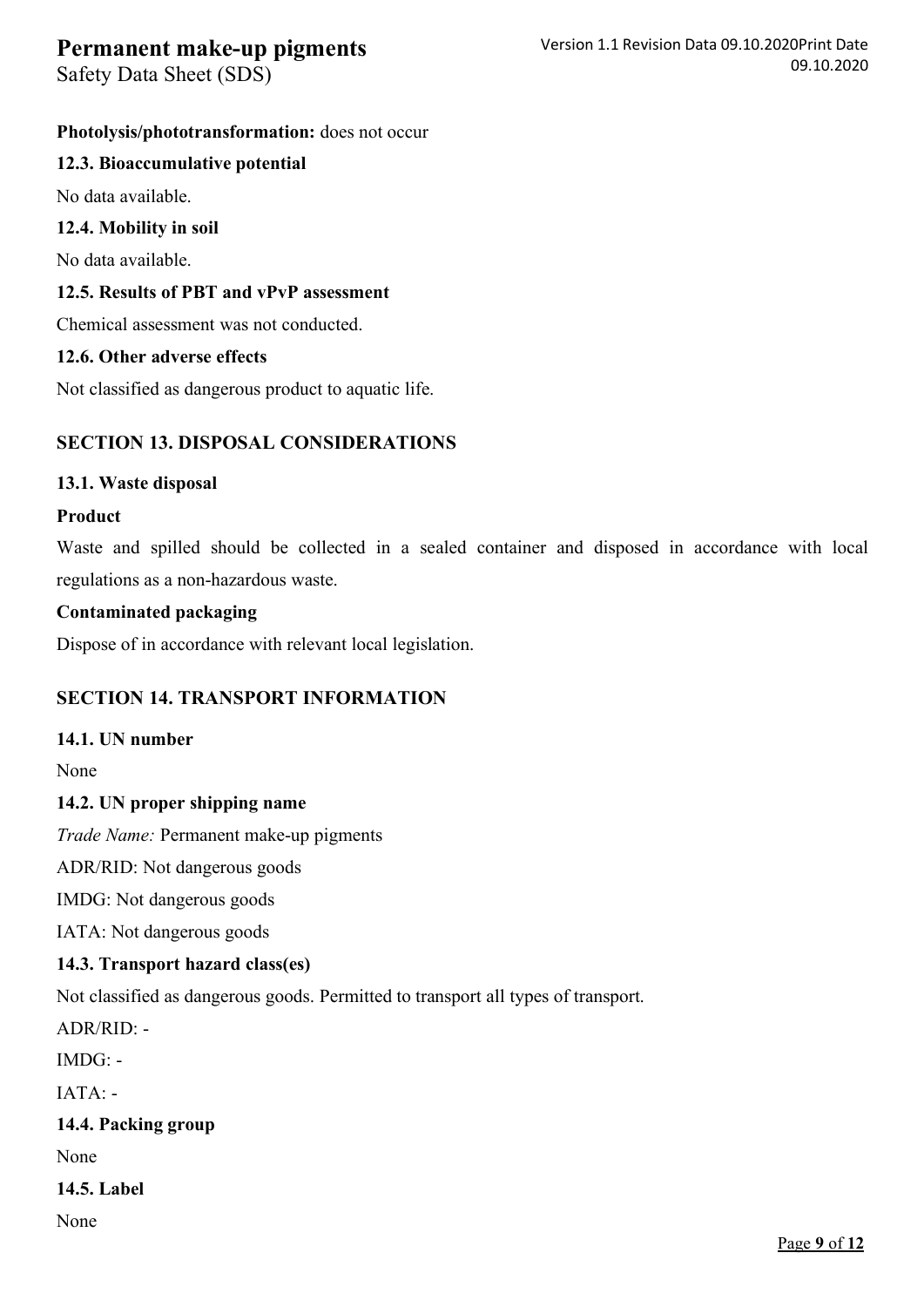Safety Data Sheet (SDS)

### **Photolysis/phototransformation:** does not occur

### **12.3. Bioaccumulative potential**

No data available.

### **12.4. Mobility in soil**

No data available.

### **12.5. Results of PBT and vPvP assessment**

Chemical assessment was not conducted.

### **12.6. Other adverse effects**

Not classified as dangerous product to aquatic life.

### **SECTION 13. DISPOSAL CONSIDERATIONS**

### **13.1. Waste disposal**

#### **Product**

Waste and spilled should be collected in a sealed container and disposed in accordance with local regulations as a non-hazardous waste.

### **Contaminated packaging**

Dispose of in accordance with relevant local legislation.

### **SECTION 14. TRANSPORT INFORMATION**

### **14.1. UN number**

None

### **14.2. UN proper shipping name**

*Trade Name:* Permanent make-up pigments

ADR/RID: Not dangerous goods

IMDG: Not dangerous goods

IATA: Not dangerous goods

### **14.3. Transport hazard class(es)**

Not classified as dangerous goods. Permitted to transport all types of transport.

ADR/RID: -

 $IMDG$ : -

IATA: -

**14.4. Packing group**

None

### **14.5. Label**

None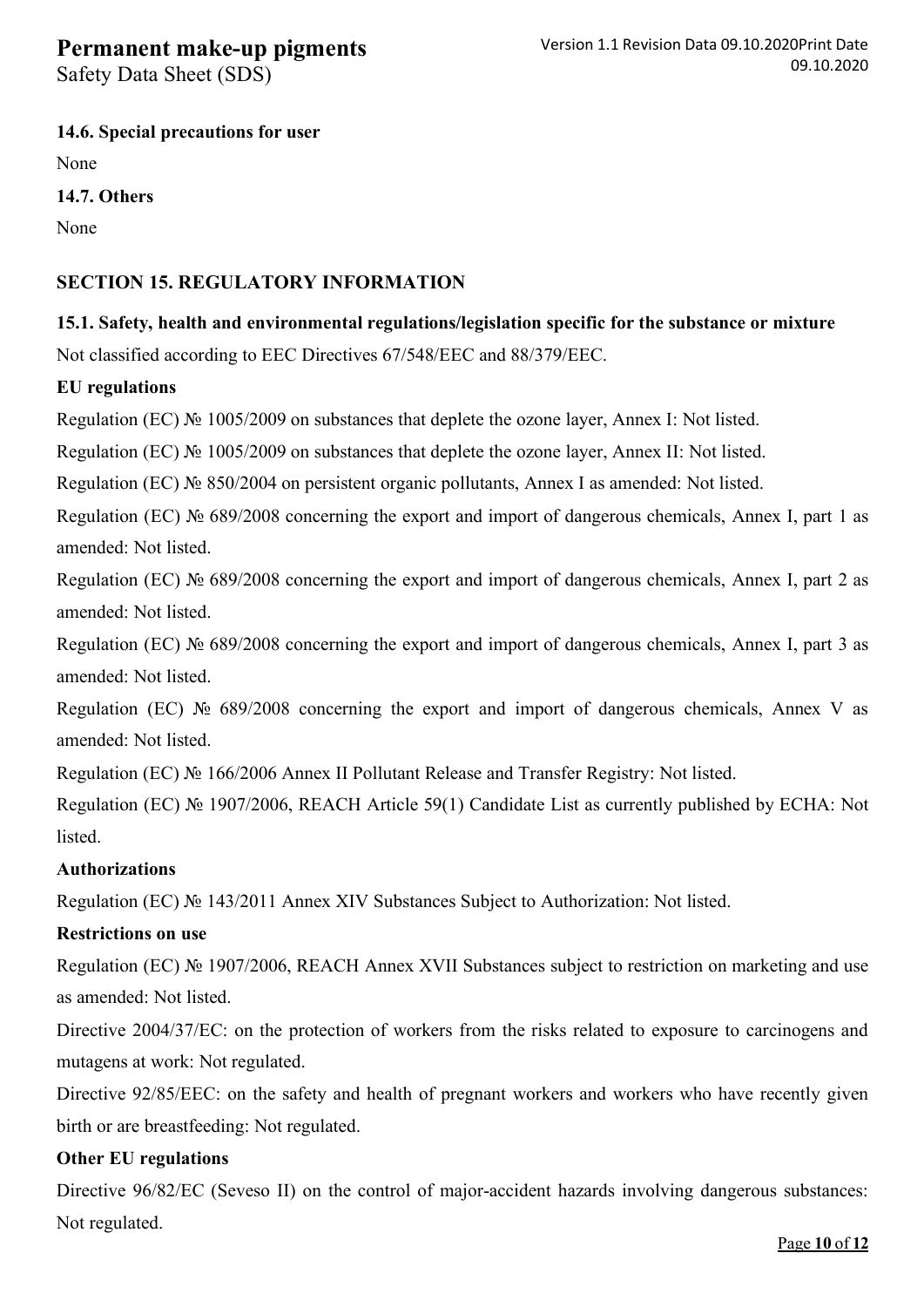Safety Data Sheet (SDS)

### **14.6. Special precautions for user**

None

**14.7. Others**

None

## **SECTION 15. REGULATORY INFORMATION**

**15.1. Safety, health and environmental regulations/legislation specific for the substance or mixture**

Not classified according to EEC Directives 67/548/EEC and 88/379/EEC.

### **EU regulations**

Regulation (EC) № 1005/2009 on substances that deplete the ozone layer, Annex I: Not listed.

Regulation (EC) № 1005/2009 on substances that deplete the ozone layer, Annex II: Not listed.

Regulation (EC) № 850/2004 on persistent organic pollutants, Annex I as amended: Not listed.

Regulation (EC) № 689/2008 concerning the export and import of dangerous chemicals, Annex I, part 1 as amended: Not listed.

Regulation (EC) № 689/2008 concerning the export and import of dangerous chemicals, Annex I, part 2 as amended: Not listed.

Regulation (EC) № 689/2008 concerning the export and import of dangerous chemicals, Annex I, part 3 as amended: Not listed.

Regulation (EC) № 689/2008 concerning the export and import of dangerous chemicals, Annex V as amended: Not listed.

Regulation (EC) № 166/2006 Annex II Pollutant Release and Transfer Registry: Not listed.

Regulation (EC) № 1907/2006, REACH Article 59(1) Candidate List as currently published by ECHA: Not listed.

### **Authorizations**

Regulation (EC) № 143/2011 Annex XIV Substances Subject to Authorization: Not listed.

### **Restrictions on use**

Regulation (EC) № 1907/2006, REACH Annex XVII Substances subject to restriction on marketing and use as amended: Not listed.

Directive 2004/37/EC: on the protection of workers from the risks related to exposure to carcinogens and mutagens at work: Not regulated.

Directive 92/85/EEC: on the safety and health of pregnant workers and workers who have recently given birth or are breastfeeding: Not regulated.

### **Other EU regulations**

Directive 96/82/EC (Seveso II) on the control of major-accident hazards involving dangerous substances: Not regulated.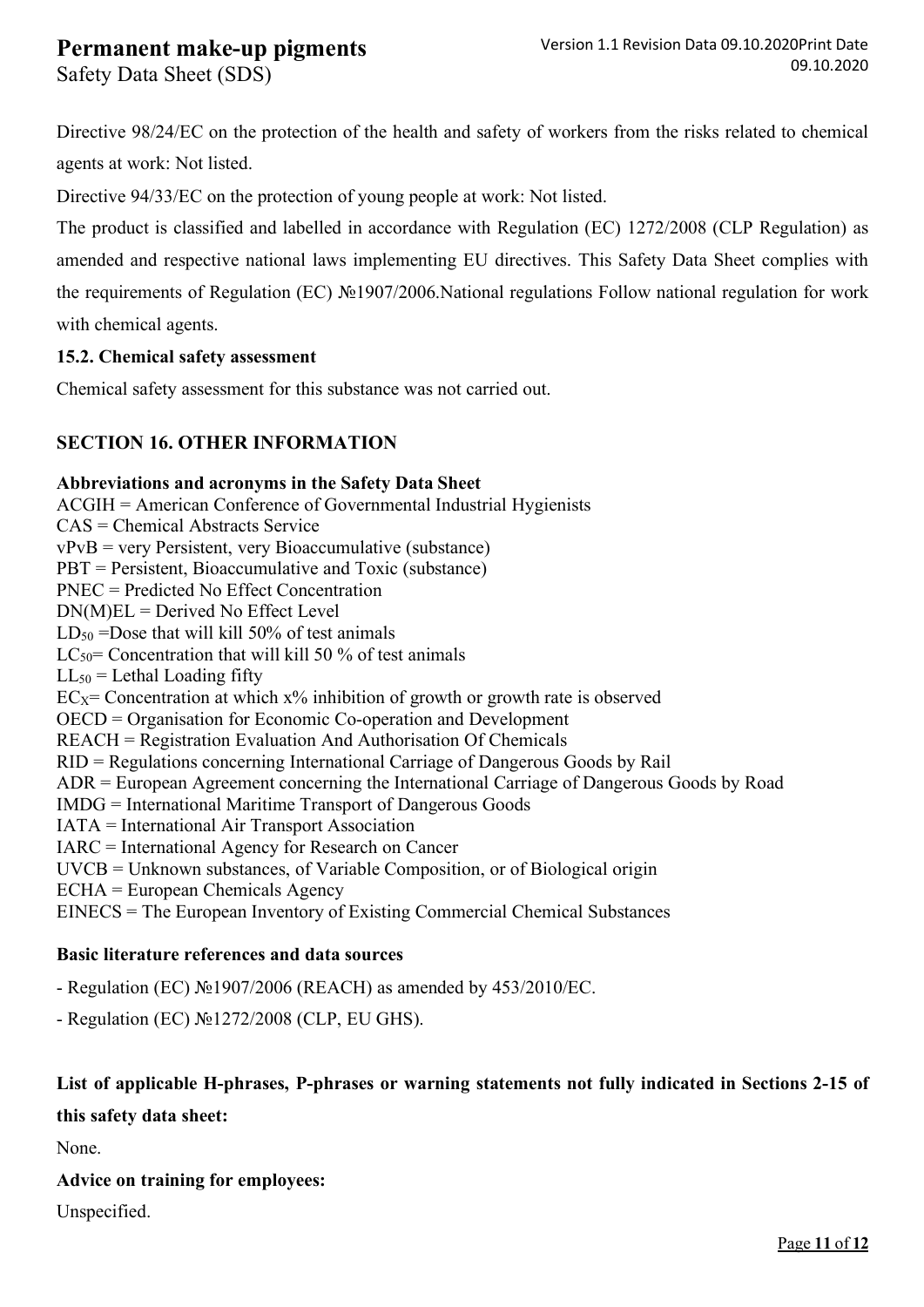Safety Data Sheet (SDS)

Directive 98/24/EC on the protection of the health and safety of workers from the risks related to chemical agents at work: Not listed.

Directive 94/33/EC on the protection of young people at work: Not listed.

The product is classified and labelled in accordance with Regulation (EC) 1272/2008 (CLP Regulation) as amended and respective national laws implementing EU directives. This Safety Data Sheet complies with the requirements of Regulation (EC) №1907/2006.National regulations Follow national regulation for work with chemical agents.

#### **15.2. Chemical safety assessment**

Chemical safety assessment for this substance was not carried out.

### **SECTION 16. OTHER INFORMATION**

#### **Abbreviations and acronyms in the Safety Data Sheet**

ACGIH = American Conference of Governmental Industrial Hygienists CAS = Chemical Abstracts Service vPvB = very Persistent, very Bioaccumulative (substance) PBT = Persistent, Bioaccumulative and Toxic (substance) PNEC = Predicted No Effect Concentration  $DN(M)EL = Derived No Effect Level$  $LD_{50}$  =Dose that will kill 50% of test animals LC<sub>50</sub>= Concentration that will kill 50  $\%$  of test animals  $LL_{50}$  = Lethal Loading fifty  $EC_X=$  Concentration at which  $x\%$  inhibition of growth or growth rate is observed OECD = Organisation for Economic Co-operation and Development REACH = Registration Evaluation And Authorisation Of Chemicals RID = Regulations concerning International Carriage of Dangerous Goods by Rail ADR = European Agreement concerning the International Carriage of Dangerous Goods by Road IMDG = International Maritime Transport of Dangerous Goods IATA = International Air Transport Association IARC = International Agency for Research on Cancer UVCB = Unknown substances, of Variable Composition, or of Biological origin ECHA = European Chemicals Agency EINECS = The European Inventory of Existing Commercial Chemical Substances

#### **Basic literature references and data sources**

- Regulation (EC) №1907/2006 (REACH) as amended by 453/2010/EC.

- Regulation (EC) №1272/2008 (CLP, EU GHS).

## **List of applicable H-phrases, P-phrases or warning statements not fully indicated in Sections 2-15 of**

**this safety data sheet:**

None.

**Advice on training for employees:** 

Unspecified.